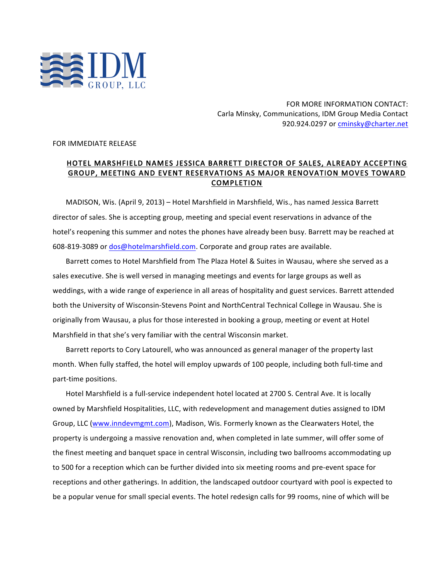

FOR MORE INFORMATION CONTACT: Carla Minsky, Communications, IDM Group Media Contact 920.924.0297 or cminsky@charter.net

FOR IMMEDIATE RELEASE

## HOTEL MARSHFIELD NAMES JESSICA BARRETT DIRECTOR OF SALES, ALREADY ACCEPTING GROUP, MEETING AND EVENT RESERVATIONS AS MAJOR RENOVATION MOVES TOWARD COMPLETION

MADISON, Wis. (April 9, 2013) – Hotel Marshfield in Marshfield, Wis., has named Jessica Barrett director of sales. She is accepting group, meeting and special event reservations in advance of the hotel's reopening this summer and notes the phones have already been busy. Barrett may be reached at 608-819-3089 or dos@hotelmarshfield.com. Corporate and group rates are available.

Barrett comes to Hotel Marshfield from The Plaza Hotel & Suites in Wausau, where she served as a sales executive. She is well versed in managing meetings and events for large groups as well as weddings, with a wide range of experience in all areas of hospitality and guest services. Barrett attended both the University of Wisconsin-Stevens Point and NorthCentral Technical College in Wausau. She is originally from Wausau, a plus for those interested in booking a group, meeting or event at Hotel Marshfield in that she's very familiar with the central Wisconsin market.

Barrett reports to Cory Latourell, who was announced as general manager of the property last month. When fully staffed, the hotel will employ upwards of 100 people, including both full-time and part-time positions.

Hotel Marshfield is a full-service independent hotel located at 2700 S. Central Ave. It is locally owned by Marshfield Hospitalities, LLC, with redevelopment and management duties assigned to IDM Group, LLC (www.inndevmgmt.com), Madison, Wis. Formerly known as the Clearwaters Hotel, the property is undergoing a massive renovation and, when completed in late summer, will offer some of the finest meeting and banquet space in central Wisconsin, including two ballrooms accommodating up to 500 for a reception which can be further divided into six meeting rooms and pre-event space for receptions and other gatherings. In addition, the landscaped outdoor courtyard with pool is expected to be a popular venue for small special events. The hotel redesign calls for 99 rooms, nine of which will be